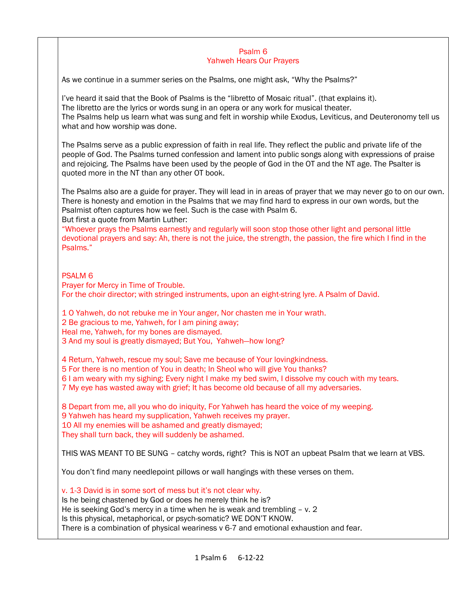#### Psalm 6 Yahweh Hears Our Prayers

As we continue in a summer series on the Psalms, one might ask, "Why the Psalms?"

I've heard it said that the Book of Psalms is the "libretto of Mosaic ritual". (that explains it). The libretto are the lyrics or words sung in an opera or any work for musical theater. The Psalms help us learn what was sung and felt in worship while Exodus, Leviticus, and Deuteronomy tell us what and how worship was done.

The Psalms serve as a public expression of faith in real life. They reflect the public and private life of the people of God. The Psalms turned confession and lament into public songs along with expressions of praise and rejoicing. The Psalms have been used by the people of God in the OT and the NT age. The Psalter is quoted more in the NT than any other OT book.

The Psalms also are a guide for prayer. They will lead in in areas of prayer that we may never go to on our own. There is honesty and emotion in the Psalms that we may find hard to express in our own words, but the Psalmist often captures how we feel. Such is the case with Psalm 6.

But first a quote from Martin Luther:

"Whoever prays the Psalms earnestly and regularly will soon stop those other light and personal little devotional prayers and say: Ah, there is not the juice, the strength, the passion, the fire which I find in the Psalms."

## PSALM 6

Prayer for Mercy in Time of Trouble. For the choir director; with stringed instruments, upon an eight-string lyre. A Psalm of David.

1 O Yahweh, do not rebuke me in Your anger, Nor chasten me in Your wrath.

2 Be gracious to me, Yahweh, for I am pining away;

Heal me, Yahweh, for my bones are dismayed.

3 And my soul is greatly dismayed; But You, Yahweh—how long?

4 Return, Yahweh, rescue my soul; Save me because of Your lovingkindness.

5 For there is no mention of You in death; In Sheol who will give You thanks?

6 I am weary with my sighing; Every night I make my bed swim, I dissolve my couch with my tears.

7 My eye has wasted away with grief; It has become old because of all my adversaries.

8 Depart from me, all you who do iniquity, For Yahweh has heard the voice of my weeping.

9 Yahweh has heard my supplication, Yahweh receives my prayer.

10 All my enemies will be ashamed and greatly dismayed;

They shall turn back, they will suddenly be ashamed.

THIS WAS MEANT TO BE SUNG – catchy words, right? This is NOT an upbeat Psalm that we learn at VBS.

You don't find many needlepoint pillows or wall hangings with these verses on them.

v. 1-3 David is in some sort of mess but it's not clear why. Is he being chastened by God or does he merely think he is? He is seeking God's mercy in a time when he is weak and trembling – v. 2 Is this physical, metaphorical, or psych-somatic? WE DON'T KNOW. There is a combination of physical weariness v 6-7 and emotional exhaustion and fear.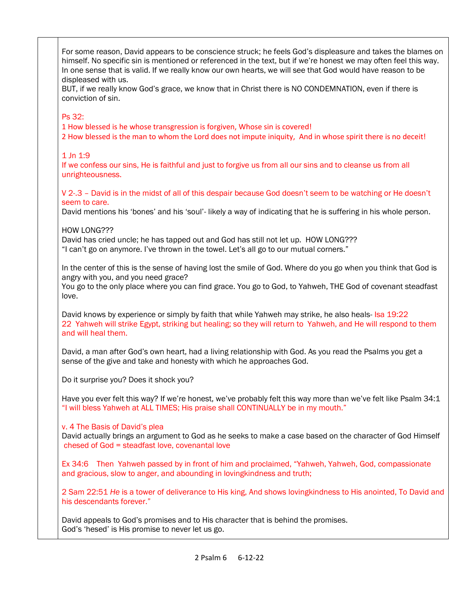For some reason, David appears to be conscience struck; he feels God's displeasure and takes the blames on himself. No specific sin is mentioned or referenced in the text, but if we're honest we may often feel this way. In one sense that is valid. If we really know our own hearts, we will see that God would have reason to be displeased with us.

BUT, if we really know God's grace, we know that in Christ there is NO CONDEMNATION, even if there is conviction of sin.

## Ps 32:

1 How blessed is he whose transgression is forgiven, Whose sin is covered!

2 How blessed is the man to whom the Lord does not impute iniquity, And in whose spirit there is no deceit!

# 1 Jn 1:9

If we confess our sins, He is faithful and just to forgive us from all our sins and to cleanse us from all unrighteousness.

V 2-.3 – David is in the midst of all of this despair because God doesn't seem to be watching or He doesn't seem to care.

David mentions his 'bones' and his 'soul'- likely a way of indicating that he is suffering in his whole person.

## HOW LONG???

David has cried uncle; he has tapped out and God has still not let up. HOW LONG??? "I can't go on anymore. I've thrown in the towel. Let's all go to our mutual corners."

In the center of this is the sense of having lost the smile of God. Where do you go when you think that God is angry with you, and you need grace?

You go to the only place where you can find grace. You go to God, to Yahweh, THE God of covenant steadfast love.

David knows by experience or simply by faith that while Yahweh may strike, he also heals- Isa 19:22 22 Yahweh will strike Egypt, striking but healing; so they will return to Yahweh, and He will respond to them and will heal them.

David, a man after God's own heart, had a living relationship with God. As you read the Psalms you get a sense of the give and take and honesty with which he approaches God.

Do it surprise you? Does it shock you?

Have you ever felt this way? If we're honest, we've probably felt this way more than we've felt like Psalm 34:1 "I will bless Yahweh at ALL TIMES; His praise shall CONTINUALLY be in my mouth."

## v. 4 The Basis of David's plea

David actually brings an argument to God as he seeks to make a case based on the character of God Himself chesed of God = steadfast love, covenantal love

Ex 34:6 Then Yahweh passed by in front of him and proclaimed, "Yahweh, Yahweh, God, compassionate and gracious, slow to anger, and abounding in lovingkindness and truth;

2 Sam 22:51 *He* is a tower of deliverance to His king, And shows lovingkindness to His anointed, To David and his descendants forever."

David appeals to God's promises and to His character that is behind the promises. God's 'hesed' is His promise to never let us go.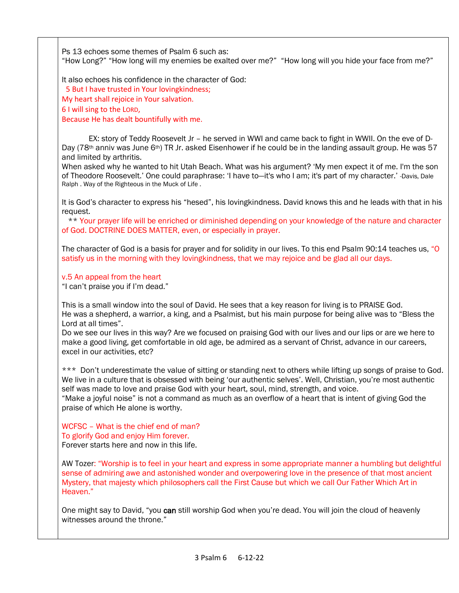Ps 13 echoes some themes of Psalm 6 such as: "How Long?" "How long will my enemies be exalted over me?" "How long will you hide your face from me?"

It also echoes his confidence in the character of God:

5 But I have trusted in Your lovingkindness;

My heart shall rejoice in Your salvation.

6 I will sing to the LORD,

Because He has dealt bountifully with me.

 EX: story of Teddy Roosevelt Jr – he served in WWI and came back to fight in WWII. On the eve of D-Day (78<sup>th</sup> anniv was June 6<sup>th</sup>) TR Jr. asked Eisenhower if he could be in the landing assault group. He was 57 and limited by arthritis.

When asked why he wanted to hit Utah Beach. What was his argument? 'My men expect it of me. I'm the son of Theodore Roosevelt.' One could paraphrase: 'I have to—it's who I am; it's part of my character.' -Davis, Dale Ralph . Way of the Righteous in the Muck of Life .

It is God's character to express his "hesed", his lovingkindness. David knows this and he leads with that in his request.

 \*\* Your prayer life will be enriched or diminished depending on your knowledge of the nature and character of God. DOCTRINE DOES MATTER, even, or especially in prayer.

The character of God is a basis for prayer and for solidity in our lives. To this end Psalm 90:14 teaches us, "O satisfy us in the morning with they lovingkindness, that we may rejoice and be glad all our days.

#### v.5 An appeal from the heart

"I can't praise you if I'm dead."

This is a small window into the soul of David. He sees that a key reason for living is to PRAISE God. He was a shepherd, a warrior, a king, and a Psalmist, but his main purpose for being alive was to "Bless the Lord at all times".

Do we see our lives in this way? Are we focused on praising God with our lives and our lips or are we here to make a good living, get comfortable in old age, be admired as a servant of Christ, advance in our careers, excel in our activities, etc?

\*\*\* Don't underestimate the value of sitting or standing next to others while lifting up songs of praise to God. We live in a culture that is obsessed with being 'our authentic selves'. Well, Christian, you're most authentic self was made to love and praise God with your heart, soul, mind, strength, and voice.

"Make a joyful noise" is not a command as much as an overflow of a heart that is intent of giving God the praise of which He alone is worthy.

WCFSC – What is the chief end of man? To glorify God and enjoy Him forever. Forever starts here and now in this life.

AW Tozer: "Worship is to feel in your heart and express in some appropriate manner a humbling but delightful sense of admiring awe and astonished wonder and overpowering love in the presence of that most ancient Mystery, that majesty which philosophers call the First Cause but which we call Our Father Which Art in Heaven."

One might say to David, "you can still worship God when you're dead. You will join the cloud of heavenly witnesses around the throne."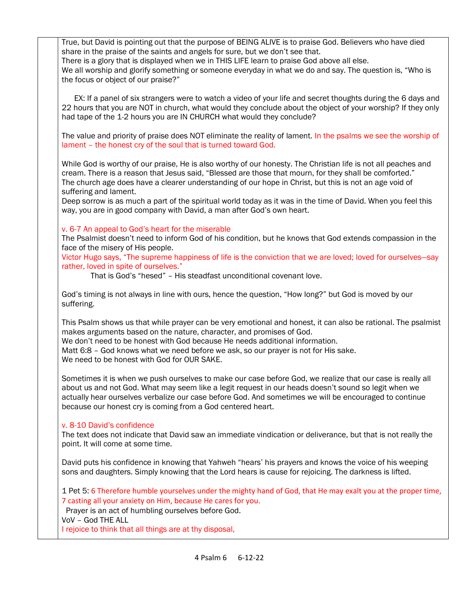True, but David is pointing out that the purpose of BEING ALIVE is to praise God. Believers who have died share in the praise of the saints and angels for sure, but we don't see that.

There is a glory that is displayed when we in THIS LIFE learn to praise God above all else.

We all worship and glorify something or someone everyday in what we do and say. The question is, "Who is the focus or object of our praise?"

 EX: If a panel of six strangers were to watch a video of your life and secret thoughts during the 6 days and 22 hours that you are NOT in church, what would they conclude about the object of your worship? If they only had tape of the 1-2 hours you are IN CHURCH what would they conclude?

The value and priority of praise does NOT eliminate the reality of lament. In the psalms we see the worship of lament – the honest cry of the soul that is turned toward God.

While God is worthy of our praise, He is also worthy of our honesty. The Christian life is not all peaches and cream. There is a reason that Jesus said, "Blessed are those that mourn, for they shall be comforted." The church age does have a clearer understanding of our hope in Christ, but this is not an age void of suffering and lament.

Deep sorrow is as much a part of the spiritual world today as it was in the time of David. When you feel this way, you are in good company with David, a man after God's own heart.

### v. 6-7 An appeal to God's heart for the miserable

The Psalmist doesn't need to inform God of his condition, but he knows that God extends compassion in the face of the misery of His people.

Victor Hugo says, "The supreme happiness of life is the conviction that we are loved; loved for ourselves—say rather, loved in spite of ourselves."

That is God's "hesed" – His steadfast unconditional covenant love.

God's timing is not always in line with ours, hence the question, "How long?" but God is moved by our suffering.

This Psalm shows us that while prayer can be very emotional and honest, it can also be rational. The psalmist makes arguments based on the nature, character, and promises of God.

We don't need to be honest with God because He needs additional information.

Matt 6:8 – God knows what we need before we ask, so our prayer is not for His sake. We need to be honest with God for OUR SAKE.

Sometimes it is when we push ourselves to make our case before God, we realize that our case is really all about us and not God. What may seem like a legit request in our heads doesn't sound so legit when we actually hear ourselves verbalize our case before God. And sometimes we will be encouraged to continue because our honest cry is coming from a God centered heart.

#### v. 8-10 David's confidence

The text does not indicate that David saw an immediate vindication or deliverance, but that is not really the point. It will come at some time.

David puts his confidence in knowing that Yahweh "hears' his prayers and knows the voice of his weeping sons and daughters. Simply knowing that the Lord hears is cause for rejoicing. The darkness is lifted.

1 Pet 5: 6 Therefore humble yourselves under the mighty hand of God, that He may exalt you at the proper time, 7 casting all your anxiety on Him, because He cares for you.

Prayer is an act of humbling ourselves before God.

VoV – God THE ALL

I rejoice to think that all things are at thy disposal,